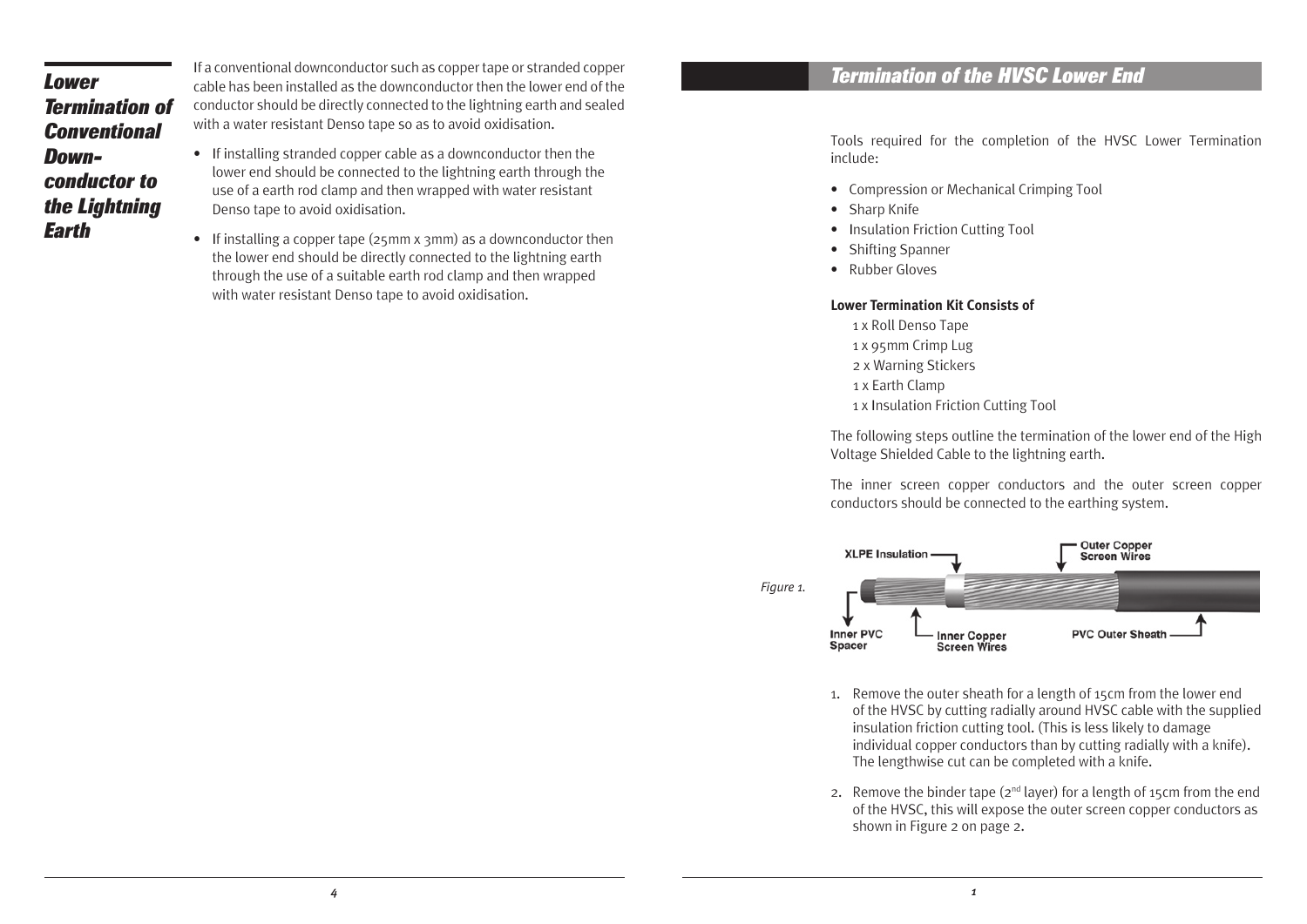## *Lower Termination of Conventional Downconductor to the Lightning Earth*

If a conventional downconductor such as copper tape or stranded copper cable has been installed as the downconductor then the lower end of the conductor should be directly connected to the lightning earth and sealed with a water resistant Denso tape so as to avoid oxidisation.

- If installing stranded copper cable as a downconductor then the lower end should be connected to the lightning earth through the use of a earth rod clamp and then wrapped with water resistant Denso tape to avoid oxidisation.
- If installing a copper tape (25mm x 3mm) as a downconductor then the lower end should be directly connected to the lightning earth through the use of a suitable earth rod clamp and then wrapped with water resistant Denso tape to avoid oxidisation.

## *Termination of the HVSC Lower End*

Tools required for the completion of the HVSC Lower Termination include:

- Compression or Mechanical Crimping Tool
- Sharp Knife
- Insulation Friction Cutting Tool
- Shifting Spanner
- Rubber Gloves

## **Lower Termination Kit Consists of**

- 1 x Roll Denso Tape
- 1 x 95mm Crimp Lug
- 2 x Warning Stickers
- 1 x Earth Clamp
- 1 x Insulation Friction Cutting Tool

The following steps outline the termination of the lower end of the High Voltage Shielded Cable to the lightning earth.

The inner screen copper conductors and the outer screen copper conductors should be connected to the earthing system.



- 1. Remove the outer sheath for a length of 15cm from the lower end of the HVSC by cutting radially around HVSC cable with the supplied insulation friction cutting tool. (This is less likely to damage individual copper conductors than by cutting radially with a knife). The lengthwise cut can be completed with a knife.
- 2. Remove the binder tape  $(2^{nd}$  laver) for a length of 15cm from the end of the HVSC, this will expose the outer screen copper conductors as shown in Figure 2 on page 2.